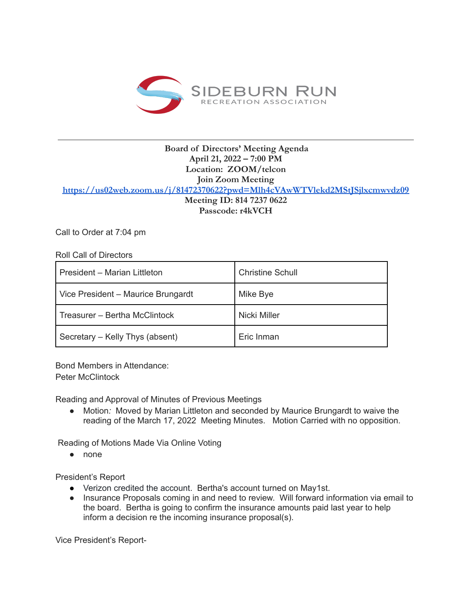

## **Board of Directors' Meeting Agenda April 21, 2022 – 7:00 PM Location: ZOOM/telcon Join Zoom Meeting <https://us02web.zoom.us/j/81472370622?pwd=Mlh4cVAwWTVlekd2MStJSjlxcmwvdz09> Meeting ID: 814 7237 0622 Passcode: r4kVCH**

Call to Order at 7:04 pm

Roll Call of Directors

| President - Marian Littleton       | <b>Christine Schull</b> |
|------------------------------------|-------------------------|
| Vice President - Maurice Brungardt | Mike Bye                |
| Treasurer – Bertha McClintock      | Nicki Miller            |
| Secretary - Kelly Thys (absent)    | Eric Inman              |

Bond Members in Attendance: Peter McClintock

Reading and Approval of Minutes of Previous Meetings

● Motion*:* Moved by Marian Littleton and seconded by Maurice Brungardt to waive the reading of the March 17, 2022 Meeting Minutes. Motion Carried with no opposition.

Reading of Motions Made Via Online Voting

● none

President's Report

- Verizon credited the account. Bertha's account turned on May1st.
- Insurance Proposals coming in and need to review. Will forward information via email to the board. Bertha is going to confirm the insurance amounts paid last year to help inform a decision re the incoming insurance proposal(s).

Vice President's Report-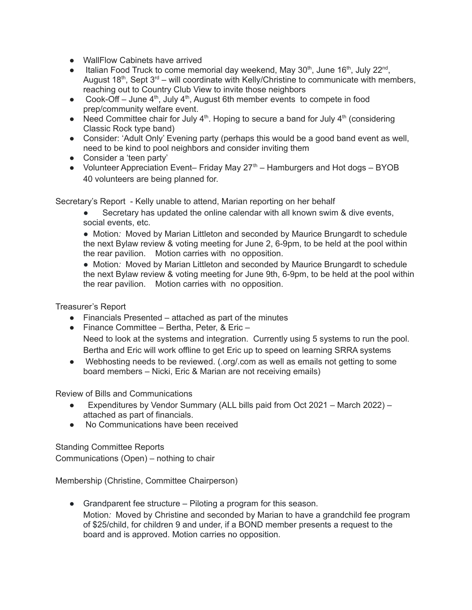- WallFlow Cabinets have arrived
- Italian Food Truck to come memorial day weekend, May  $30<sup>th</sup>$ , June  $16<sup>th</sup>$ , July  $22<sup>nd</sup>$ , August 18<sup>th</sup>, Sept  $3<sup>rd</sup>$  – will coordinate with Kelly/Christine to communicate with members, reaching out to Country Club View to invite those neighbors
- Cook-Off June  $4<sup>th</sup>$ , July  $4<sup>th</sup>$ , August 6th member events to compete in food prep/community welfare event.
- Need Committee chair for July  $4<sup>th</sup>$ . Hoping to secure a band for July  $4<sup>th</sup>$  (considering Classic Rock type band)
- Consider: 'Adult Only' Evening party (perhaps this would be a good band event as well, need to be kind to pool neighbors and consider inviting them
- Consider a 'teen party'
- Volunteer Appreciation Event– Friday May  $27<sup>th</sup>$  Hamburgers and Hot dogs BYOB 40 volunteers are being planned for.

Secretary's Report - Kelly unable to attend, Marian reporting on her behalf

● Secretary has updated the online calendar with all known swim & dive events, social events, etc.

● Motion: Moved by Marian Littleton and seconded by Maurice Brungardt to schedule the next Bylaw review & voting meeting for June 2, 6-9pm, to be held at the pool within the rear pavilion. Motion carries with no opposition.

● Motion: Moved by Marian Littleton and seconded by Maurice Brungardt to schedule the next Bylaw review & voting meeting for June 9th, 6-9pm, to be held at the pool within the rear pavilion. Motion carries with no opposition.

Treasurer's Report

- Financials Presented attached as part of the minutes
- Finance Committee Bertha, Peter, & Eric Need to look at the systems and integration. Currently using 5 systems to run the pool. Bertha and Eric will work offline to get Eric up to speed on learning SRRA systems
- Webhosting needs to be reviewed. (.org/.com as well as emails not getting to some board members – Nicki, Eric & Marian are not receiving emails)

Review of Bills and Communications

- Expenditures by Vendor Summary (ALL bills paid from Oct 2021 March 2022) attached as part of financials.
- No Communications have been received

Standing Committee Reports Communications (Open) – nothing to chair

Membership (Christine, Committee Chairperson)

● Grandparent fee structure – Piloting a program for this season. Motion*:* Moved by Christine and seconded by Marian to have a grandchild fee program of \$25/child, for children 9 and under, if a BOND member presents a request to the board and is approved. Motion carries no opposition.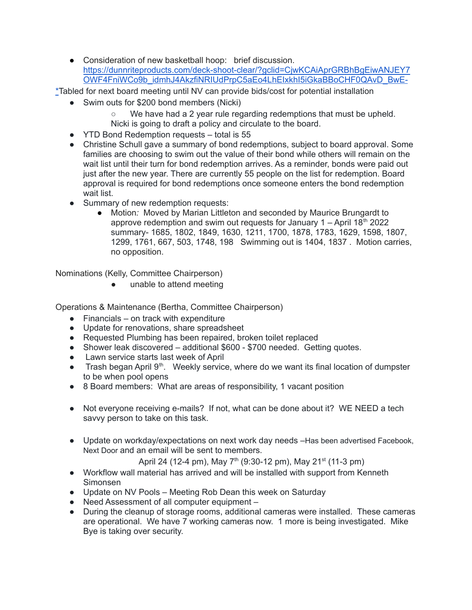● Consideration of new basketball hoop: brief discussion. [https://dunnriteproducts.com/deck-shoot-clear/?gclid=CjwKCAiAprGRBhBgEiwANJEY7](https://dunnriteproducts.com/deck-shoot-clear/?gclid=CjwKCAiAprGRBhBgEiwANJEY7OWF4FniWCo9b_idmhJ4AkzfiNRIUdPrpC5aEo4LhEIxkhI5iGkaBBoCHF0QAvD_BwE-) [OWF4FniWCo9b\\_idmhJ4AkzfiNRIUdPrpC5aEo4LhEIxkhI5iGkaBBoCHF0QAvD\\_BwE-](https://dunnriteproducts.com/deck-shoot-clear/?gclid=CjwKCAiAprGRBhBgEiwANJEY7OWF4FniWCo9b_idmhJ4AkzfiNRIUdPrpC5aEo4LhEIxkhI5iGkaBBoCHF0QAvD_BwE-)

\*Tabled for next board meeting until NV can provide bids/cost for potential installation

- Swim outs for \$200 bond members (Nicki)
	- We have had a 2 year rule regarding redemptions that must be upheld. Nicki is going to draft a policy and circulate to the board.
- YTD Bond Redemption requests total is 55
- Christine Schull gave a summary of bond redemptions, subject to board approval. Some families are choosing to swim out the value of their bond while others will remain on the wait list until their turn for bond redemption arrives. As a reminder, bonds were paid out just after the new year. There are currently 55 people on the list for redemption. Board approval is required for bond redemptions once someone enters the bond redemption wait list.
- Summary of new redemption requests:
	- Motion*:* Moved by Marian Littleton and seconded by Maurice Brungardt to approve redemption and swim out requests for January  $1 -$ April  $18<sup>th</sup>$  2022 summary- 1685, 1802, 1849, 1630, 1211, 1700, 1878, 1783, 1629, 1598, 1807, 1299, 1761, 667, 503, 1748, 198 Swimming out is 1404, 1837 . Motion carries, no opposition.

Nominations (Kelly, Committee Chairperson)

unable to attend meeting

Operations & Maintenance (Bertha, Committee Chairperson)

- $\bullet$  Financials on track with expenditure
- Update for renovations, share spreadsheet
- Requested Plumbing has been repaired, broken toilet replaced
- Shower leak discovered additional \$600 \$700 needed. Getting quotes.
- Lawn service starts last week of April
- Trash began April 9<sup>th</sup>. Weekly service, where do we want its final location of dumpster to be when pool opens
- 8 Board members: What are areas of responsibility, 1 vacant position
- Not everyone receiving e-mails? If not, what can be done about it? WE NEED a tech savvy person to take on this task.
- Update on workday/expectations on next work day needs –Has been advertised Facebook, Next Door and an email will be sent to members.

April 24 (12-4 pm), May 7<sup>th</sup> (9:30-12 pm), May 21<sup>st</sup> (11-3 pm)

- Workflow wall material has arrived and will be installed with support from Kenneth Simonsen
- Update on NV Pools Meeting Rob Dean this week on Saturday
- Need Assessment of all computer equipment –
- During the cleanup of storage rooms, additional cameras were installed. These cameras are operational. We have 7 working cameras now. 1 more is being investigated. Mike Bye is taking over security.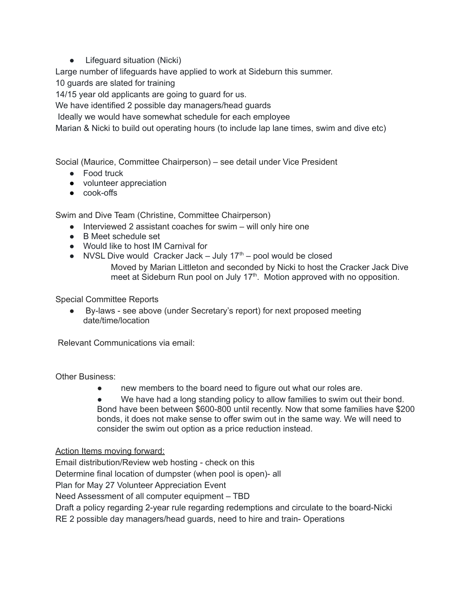● Lifeguard situation (Nicki)

Large number of lifeguards have applied to work at Sideburn this summer.

10 guards are slated for training

14/15 year old applicants are going to guard for us.

We have identified 2 possible day managers/head guards

Ideally we would have somewhat schedule for each employee

Marian & Nicki to build out operating hours (to include lap lane times, swim and dive etc)

Social (Maurice, Committee Chairperson) – see detail under Vice President

- Food truck
- volunteer appreciation
- cook-offs

Swim and Dive Team (Christine, Committee Chairperson)

- Interviewed 2 assistant coaches for swim will only hire one
- B Meet schedule set
- Would like to host IM Carnival for
- NVSL Dive would Cracker Jack July  $17<sup>th</sup>$  pool would be closed

Moved by Marian Littleton and seconded by Nicki to host the Cracker Jack Dive meet at Sideburn Run pool on July 17<sup>th</sup>. Motion approved with no opposition.

Special Committee Reports

● By-laws - see above (under Secretary's report) for next proposed meeting date/time/location

Relevant Communications via email:

Other Business:

- new members to the board need to figure out what our roles are.
- We have had a long standing policy to allow families to swim out their bond. Bond have been between \$600-800 until recently. Now that some families have \$200 bonds, it does not make sense to offer swim out in the same way. We will need to consider the swim out option as a price reduction instead.

Action Items moving forward:

Email distribution/Review web hosting - check on this

Determine final location of dumpster (when pool is open)- all

Plan for May 27 Volunteer Appreciation Event

Need Assessment of all computer equipment – TBD

Draft a policy regarding 2-year rule regarding redemptions and circulate to the board-Nicki

RE 2 possible day managers/head guards, need to hire and train- Operations